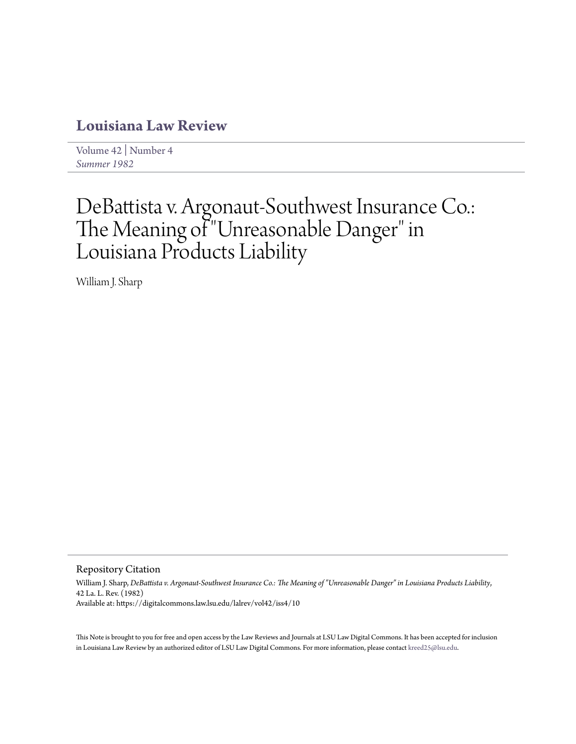## **[Louisiana Law Review](https://digitalcommons.law.lsu.edu/lalrev)**

[Volume 42](https://digitalcommons.law.lsu.edu/lalrev/vol42) | [Number 4](https://digitalcommons.law.lsu.edu/lalrev/vol42/iss4) *[Summer 1982](https://digitalcommons.law.lsu.edu/lalrev/vol42/iss4)*

# DeBattista v. Argonaut-Southwest Insurance Co.: The Meaning of "Unreasonable Danger" in Louisiana Products Liability

William J. Sharp

Repository Citation

William J. Sharp, *DeBattista v. Argonaut-Southwest Insurance Co.: The Meaning of "Unreasonable Danger" in Louisiana Products Liability*, 42 La. L. Rev. (1982) Available at: https://digitalcommons.law.lsu.edu/lalrev/vol42/iss4/10

This Note is brought to you for free and open access by the Law Reviews and Journals at LSU Law Digital Commons. It has been accepted for inclusion in Louisiana Law Review by an authorized editor of LSU Law Digital Commons. For more information, please contact [kreed25@lsu.edu](mailto:kreed25@lsu.edu).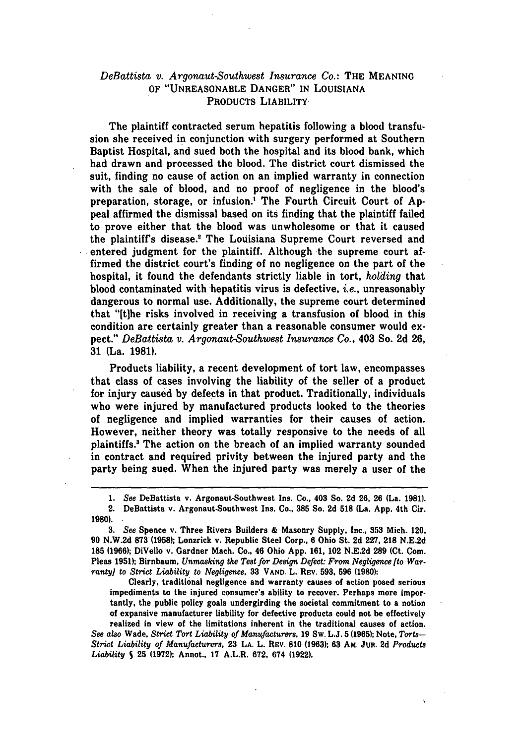## *DeBattista v. Argonaut-Southwest Insurance Co.:* THE MEANING OF "UNREASONABLE DANGER" **IN** LOUISIANA PRODUCTS LIABILITY

The plaintiff contracted serum hepatitis following a blood transfusion she received in conjunction with surgery performed at Southern Baptist Hospital, and sued both the hospital and its blood bank, which had drawn and processed the blood. The district court dismissed the suit, finding no cause of action on an implied warranty in connection with the sale of blood, and no proof of negligence in the blood's preparation, storage, or infusion.' The Fourth Circuit Court of Appeal affirmed the dismissal based on its finding that the plaintiff failed to prove either that the blood was unwholesome or that it caused the plaintiff's disease." The Louisiana Supreme Court reversed and entered judgment for the plaintiff. Although the supreme court affirmed the district court's finding of no negligence on the part of the hospital, it found the defendants strictly liable in tort, *holding* that blood contaminated with hepatitis virus is defective, *i.e.,* unreasonably dangerous to normal use. Additionally, the supreme court determined that "[tihe risks involved in receiving a transfusion of blood in this condition are certainly greater than a reasonable consumer would expect." *DeBattista v. Argonaut-Southwest Insurance Co.,* 403 So. **2d 26, 31** (La. 1981).

Products liability, a recent development of tort law, encompasses that class of cases involving the liability of the seller of a product for injury caused by defects in that product. Traditionally, individuals who were injured by manufactured products looked to the theories of negligence and implied warranties for their causes of action. However, neither theory was totally responsive to the needs of all plaintiffs.' The action on the breach of an implied warranty sounded in contract and required privity between the injured party and the party being sued. When the injured party was merely a user of the

Clearly, traditional negligence and warranty causes of action posed serious impediments to the injured consumer's ability to recover. Perhaps more importantly, the public policy goals undergirding the societal commitment to a notion of expansive manufacturer liability for defective products could not be effectively

realized in view of the limitations inherent in the traditional causes of action. *See* also Wade, Strict *Tort Liability of Manufacturers,* **19** Sw. L.J. **5 (1965);** Note, *Torts-Strict Liability of Manufacturers.* **23 LA.** L. REV. **810 (1963); 63** AM. Jun. **2d** *Products Liability S* **25 (1972);** Annot., 17 A.L.R. **672,** 674 **(1922).**

**<sup>1.</sup>** *See* DeBattista v. Argonaut-Southwest Ins. Co., 403 So. **2d 26. 26** (La. **1981).**

<sup>2.</sup> DeBattista v. Argonaut-Southwest Ins. Co., **385** So. **2d 518** (La. App. 4th Cir. **1980).**

**<sup>3.</sup>** *See* Spence v. Three Rivers Builders & Masonry Supply, Inc., **353** Mich. 120, **90** N.W.2d **873 (1958);** Lonzrick v. Republic Steel Corp., **6** Ohio St. 2d 227, **218** N.E.2d **185 (1966);** DiVello v. Gardner Mach. Co., 46 Ohio **App.** 161, 102 N.E.2d **289** (Ct. **Com.** Pleas **1951);** Birnbaum, *Unmasking the Test for Design Defect: From Negligence [to Warranty] to Strict Liability to Negligence,* **33** VAND. L. REV. **593, 596 (1980):**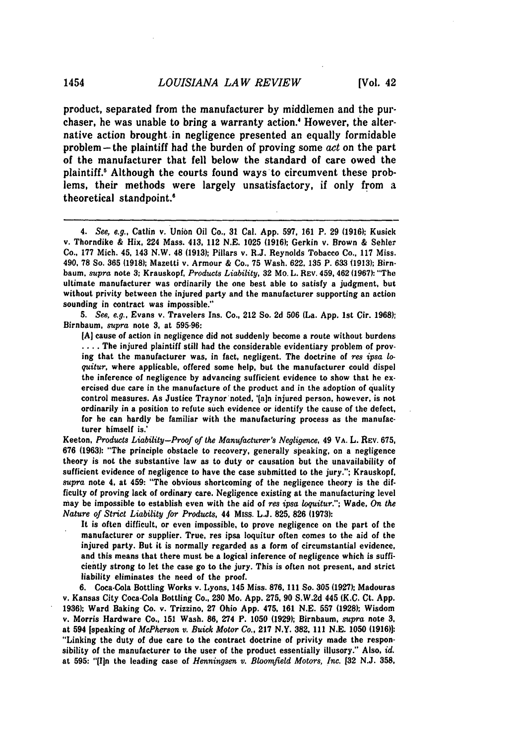product, separated from the manufacturer **by** middlemen and the purchaser, he was unable to bring a warranty action.<sup>4</sup> However, the alternative action brought in negligence presented an equally formidable problem -the plaintiff had the burden of proving some *act* on the part of the manufacturer that fell below the standard of care owed the plaintiff.' Although the courts found ways to circumvent these problems, their methods were largely unsatisfactory, if only from a theoretical standpoint.<sup>6</sup>

*5. See, e.g.,* Evans v. Travelers Ins. Co., 212 So. **2d 506** (La. **App.** 1st Cir. **1968);** Birnbaum, *supra* note **3,** at **595-96:**

**[A]** cause of action in negligence did not suddenly become a route without burdens .... The injured plaintiff still had the considerable evidentiary problem of proving that the manufacturer was, in fact, negligent. The doctrine of *res ipsa* lo*quitur,* where applicable, offered some help, but the manufacturer could dispel the inference of negligence **by** advancing sufficient evidence to show that he exercised due care in the manufacture of the product and in the adoption of quality control measures. As Justice Traynor'noted, 'faln injured person, however, is not ordinarily in a position to refute such evidence or identify the cause of the defect, for he can hardly be familiar with the manufacturing process as the manufacturer himself is.'

Keeton, *Products Liability-Proof of the Manufacturer's Negligence,* 49 **VA.** L. REv. **675, 676 (1963):** "The principle obstacle to recovery, generally speaking, on a negligence theory is not the substantive law as to duty or causation but the unavailability of sufficient evidence of negligence to have the case submitted to the jury."; Krauskopf, *supra* note 4, at 459: "The obvious shortcoming of the negligence theory is the difficulty of proving lack of ordinary care. Negligence existing at the manufacturing level may be impossible to establish even with the aid of *res ipsa loquitur.";* Wade, *On the Nature of Strict Liability for Products,* 44 Miss. L.J. **825, 826 (1973):**

It is often difficult, or even impossible, to prove negligence on the part of the manufacturer or supplier. True, res ipsa loquitur often comes to the aid of the injured party. But it is normally regarded as a form of circumstantial evidence, and this means that there must be a logical inference of negligence which is sufficiently strong to let the case go to the jury. This is often not present, and strict liability eliminates the need of the proof.

**6.** Coca-Cola Bottling Works v. Lyons, 145 Miss. **876, 111** So. **305 (1927);** Madouras v. Kansas City Coca-Cola Bottling Co., 230 **Mo. App. 275, 90** S.W.2d 445 (K.C. Ct. **App. 1936);** Ward Baking Co. v. Trizzino, **27** Ohio **App.** 475, **161 N.E. 557 (1928);** Wisdom v. Morris Hardware Co., **151** Wash. **86,** 274 P. **1050 (1929);** Birnbaum, supra note **3,** at 594 [speaking of *McPherson v. Buick Motor Co.,* **217** N.Y. **382, 111 N.E. 1050 (1916)]:** "Linking the duty of due care to the contract doctrine of privity made the responsibility of the manufacturer to the user of the product essentially illusory." Also, *id.* at **595:** "[In the leading case of *Henningsen v. Bloomfield Motors, Inc.* **[32 N.J. 358.**

<sup>4.</sup> *See, e.g.,* Catlin v. Union Oil Co., **31** Cal. **App. 597, 161** P. **29 (1916);** Kusiek v. Thorndike & Hix, 224 Mass. 413, 112 **N.E. 1025 (1916);** Gerkin v. Brown & Sehler Co., **177** Mich. 45, 143 N.W. 48 **(1913);** Pillars v. R.J. Reynolds Tobacco Co., **117** Miss. 490, **78** So. **365 (1918);** Mazetti v. Armour **&** Co., **75** Wash. **622, 135** P. **633 (1913); Birn**baum, *supra* note **3;** Krauskopf, *Products Liability,* **32** Mo. L. REV. 459, 462 **(1967):** "The ultimate manufacturer was ordinarily the one best able to satisfy a judgment, but without privity between the injured party and the manufacturer supporting an action sounding in contract was impossible."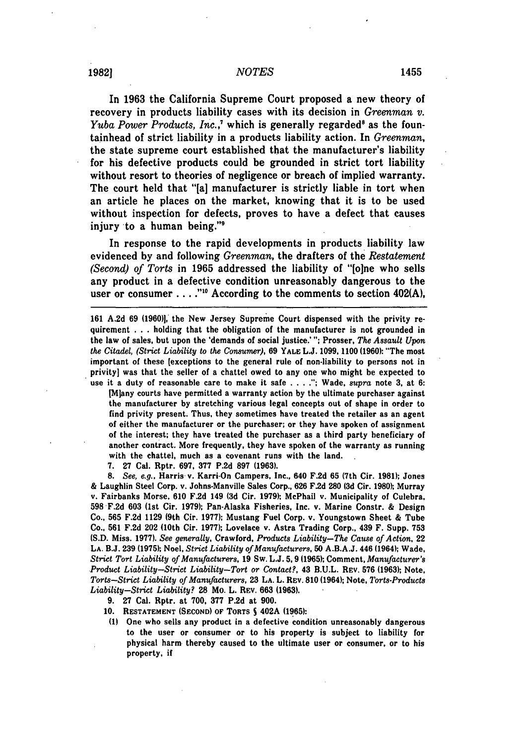### *NOTES* **19821 <sup>1455</sup>**

In **1963** the California Supreme Court proposed a new theory of recovery in products liability cases with its decision in *Greenman v. Yuba Power Products, Inc.*,<sup>7</sup> which is generally regarded<sup>8</sup> as the fountainhead of strict liability in a products liability action. In *Greenman,* the state supreme court established that the manufacturer's liability for his defective products could be grounded in strict tort liability without resort to theories of negligence or breach of implied warranty. The court held that "[a] manufacturer is strictly liable in tort when an article he places on the market, knowing that it is to be used without inspection for defects, proves to have a defect that causes injury to a human being."<sup>9</sup>

In response to the rapid developments in products liability law evidenced **by** and following *Greenman,* the drafters of the *Restatement (Second) of Torts* in **1965** addressed the liability of **"[one** who sells any product in a defective condition unreasonably dangerous to the user or consumer . . . . "<sup>10</sup> According to the comments to section 402(A),

**161 A.2d 69 (1960)],** the New Jersey Supreme Court dispensed with the privity requirement **.. .** holding that the obligation of the manufacturer is not grounded in the law of sales, but upon the 'demands of social justice.' **";** Prosser, *The Assault Upon the Citadel, (Strict Liability to the Consumer),* **69** YALE **L.J. 1099. 1100 (1960):** "The most important of these [exceptions to the general rule of non-liability to persons not in privity] was that the seller of a chattel owed to any one who might be expected to use it a duty of reasonable care to make it safe .... **.";** Wade, *supra* note **3,** at **6:**

[Miany courts have permitted a warranty action **by** the ultimate purchaser against the manufacturer **by** stretching various legal concepts out of shape in order to find privity present. Thus, they sometimes have treated the retailer as an agent of either the manufacturer or the purchaser; or they have spoken of assignment of the interest; they have treated the purchaser as a third party beneficiary of another contract. More frequently, they have spoken of the warranty as running with the chattel, much as a covenant runs with the land.

**7. 27** Cal. Rptr. **697, 377 P.2d 897 (1963).**

*8. See, e.g.,* Harris v. Karri-On Campers, Inc., 640 **F.2d 65** (7th Cir. **1981):** Jones **&** Laughlin Steel Corp. v. Johns-Manville Sales Corp., **626 F.2d 280 (3d** Cir. **1980);** Murray v. Fairbanks Morse, **610 F.2d** 149 **(3d** Cir. **1979);** McPhail v. Municipality of Culebra, **598 F.2d 603 (1st** Cir. **1979);** Pan-Alaska Fisheries, Inc. v. Marine Constr. **&** Design Co., **565 F.2d 1129** (9th Cir. **1977);** Mustang Fuel Corp. v. Youngstown Sheet **&** Tube Co., **561 F.2d** 202 (10th Cir. **1977);** Lovelace v. Astra Trading Corp., 439 F. Supp. **753** (S.D. Miss. **1977).** *See generally,* Crawford, *Products Liability-The Cause of Action,* 22 LA. **B.J. 239 (1975);** Noel, *Strict Liability of Manufacturers,* **50** A.B.A.J. 446 (1964); Wade, *Strict Tort Liability of Manufacturers,* **19** Sw. L.J. **5,9 (1965);** Comment, *Manufacturer's Product Liability-Strict Liability-Tort or Contact?,* 43 B.U.L. REV. **576** (1963); Note, *Torts-Strict Liability of Manufacturers,* **23** LA. L. REV. **810** (1964); Note, *Torts-Products Liability-Strict Liability?* **28** Mo. L. REv. **663 (1963).**

- **9. 27** Cal. Rptr. at **700, 377** P.2d at **900.**
- **10. RESTATEMENT (SECOND)** OF TORTS **S** 402A **(1965):**
- **(1)** One who sells any product in a defective condition unreasonably dangerous to the user or consumer or to his property is subject to liability for physical harm thereby caused to the ultimate user or consumer, or to his property, if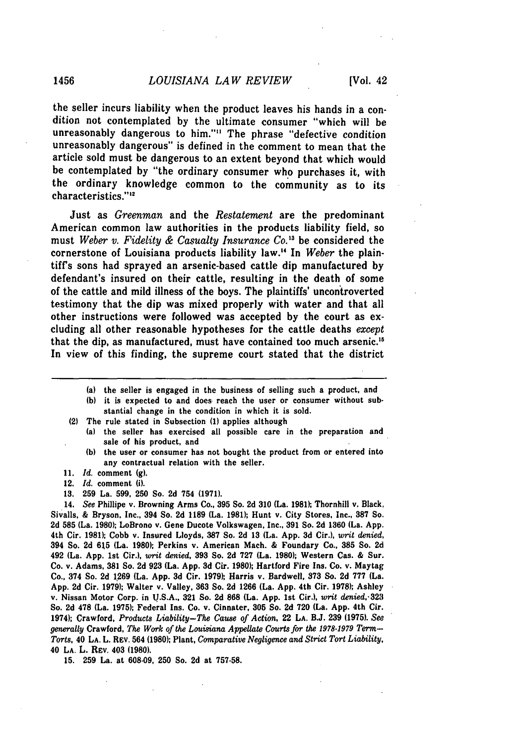the seller incurs liability when the product leaves his hands in a condition not contemplated **by** the ultimate consumer "which will be unreasonably dangerous to him."'" The phrase "defective condition unreasonably dangerous" is defined in the comment to mean that the article sold must be dangerous to an extent beyond that which would be contemplated **by** "the ordinary consumer who purchases it, with the ordinary knowledge common to the community as to its characteristics."<sup>12</sup>

Just as *Greenman* and the *Restatement* are the predominant American common law authorities in the products liability field, so must *Weber v. Fidelity & Casualty Insurance Co.'"* be considered the cornerstone of Louisiana products liability law." In *Weber* the plaintiff's sons had sprayed an arsenic-based cattle dip manufactured **by** defendant's insured on their cattle, resulting in the death of some of the cattle and mild illness of the boys. The plaintiffs' uncon'troverted testimony that the dip was mixed properly with water and that all other instructions were followed was accepted **by** the court as excluding all other reasonable hypotheses for the cattle deaths *except* that the dip, as manufactured, must have contained too much arsenic.' In view of this finding, the supreme court stated that the district

- (a) the seller is engaged in the business of selling such a product, and
- **(b)** it is expected to and does reach the user or consumer without substantial change in the condition in which it is sold.
- (2) The rule stated in Subsection **(1)** applies although
	- (a) the seller has exercised all possible care in the preparation and sale of his product, and
		- **(b)** the user or consumer has not bought the product from or entered into any contractual relation with the seller.
- **11.** *Id.* comment **(g).**
- 12. *Id.* comment (i).
- **13. 259** La. **599, 250** So. **2d** 754 **(1971).**

14. *See* Phillipe v. Browning Arms Co., **395** So. **2d 310** (La. **1981);** Thornhill v. Black, Sivalls, **&** Bryson, Inc., 394 So. **2d 1189** (La. **1981);** Hunt v. City Stores, Inc., **387 So. 2d 585** (La. **1980);** LoBrono v. Gene Ducote Volkswagen, Inc., **391** So. **2d 1360** (La. **App.** 4th Cir. **1981);** Cobb v. Insured Lloyds, **387** So. **2d 13** (La. **App. 3d** Cir.), *writ denied,* 394 So. **2d 615** (La. **1980);** Perkins v. American Mach. **&** Foundary Co., **385** So. **2d** 492 (La. **App.** 1st Cir.), *writ denied,* **393** So. **2d 727** (La. **1980);** Western Cas. **&** Sur. Co. **v.** Adams, **381** So. **2d 923** (La. **App. 3d** Cir. **1980);** Hartford Fire Ins. Co. v. Maytag Co., 374 So. **2d 1269** (La. **App. 3d** Cir. **1979);** Harris v. Bardwell, **373** So. **2d 777** (La. **App. 2d** Cir. **1979);** Walter v. Valley, **363** So. **2d 1266** (La. **App.** 4th Cir. **1978);** Ashley v. Nissan Motor Corp. in **U.S.A., 321** So. **2d 868** (La. **App. 1st** Cir.), writ *denied,.32,I* So. **2d** 478 (La. **1975);** Federal Ins. Co. v. Cinnater, **305** So. **2d 720** (La. **App.** 4th Cir. 1974); Crawford, *Products Liability-The Cause of Action,* 22 **LA. B.J. 239 (1975).** *See generally* Crawford, *The Work of the Louisiana Appellate Courts for the 1978-1979 Term-- Torts,* 40 LA. L. REV. 564 **(1980);** Plant, *Comparative Negligence and Strict Tort Liability,* 40 **LA.** L. **REv.** 403 **(1980).**

**15. 259** La. at **608-09, 250** So. **2d** at **757-58.**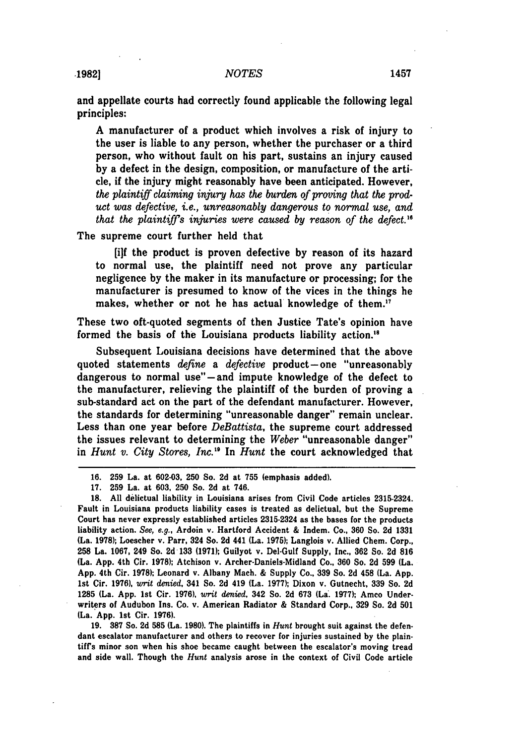and appellate courts had correctly found applicable the following legal principles:

**A** manufacturer of a product which involves a risk of injury to the user is liable to any person, whether the purchaser or a third person, who without fault on his part, sustains an injury caused **by** a defect in the design, composition, or manufacture of the article, if the injury might reasonably have been anticipated. However, *the plaintiff claiming injury has the burden of proving that the product was defective, i.e., unreasonably dangerous to normal use, and that the plaintiffs injuries were caused by reason of the defect."6*

The supreme court further held that

[ijf the product is proven defective by reason of its hazard to normal use, the plaintiff need not prove any particular negligence by the maker in its manufacture or processing; for the manufacturer is presumed to know of the vices in the things he makes, whether or not he has actual knowledge of them."

These two oft-quoted segments of then Justice Tate's opinion have formed the basis of the Louisiana products liability action.'<sup>8</sup>

Subsequent Louisiana decisions have determined that the above quoted statements *define* a *defective* product-one "unreasonably dangerous to normal use"-and impute knowledge of the defect to the manufacturer, relieving the plaintiff of the burden of proving a sub-standard act on the part of the defendant manufacturer. However, the standards for determining "unreasonable danger" remain unclear. Less than one year before *DeBattista,* the supreme court addressed the issues relevant to determining the *Weber* "unreasonable danger" in *Hunt v. City Stores, Inc."* In *Hunt* the court acknowledged that

**19. 387** So. **2d 585** (La. **1980).** The plaintiffs in *Hunt* brought suit against the defendant escalator manufacturer and others to recover for injuries sustained **by** the plaintiff's minor son when his shoe became caught between the escalator's moving tread and side wall. Though the *Hunt* analysis arose in the context of Civil Code article

**<sup>16. 259</sup>** La. at **602-03, 250** So. **2d** at **755** (emphasis added).

**<sup>17. 259</sup>** La. at **603, 250** So. **2d** at 746.

**<sup>18.</sup> All** delictual liability in Louisiana arises from Civil Code articles 2315-2324. Fault in Louisiana products liability cases is treated as delictual, but the Supreme Court has never expressly established articles 2315-2324 as the bases for the products liability action. *See, e.g.,* Ardoin v. Hartford Accident **&** Indem. Co., **360** So. **2d 1331** (La. **1978);** Loescher v. Parr, 324 So. **2d** 441 (La. **1975);** Langlois v. Allied Chem. Corp., **258** La. **1067,** 249 So. **2d 133 (1971);** Guilyot v. Del-Gulf Supply, Inc., **362** So. **2d 816** (La. **App.** 4th Cir. **1978);** Atchison v. Archer-Daniels-Midland Co., **360** So. **2d 599** (La. **App.** 4th Cir. **1978);** Leonard v. Albany Mach. & Supply Co.. **339** So. **2d** 458 (La. **App. 1st** Cir. **1976),** *writ* denied, 341 So. **2d** 419 (La. **1977);** Dixon v. Gutnecht, **339** So. **2d 1285** (La. **App. 1st** Cir. **1976),** *writ denied,* 342 So. **2d 673** (La. **1977);** Amco Underwriters of Audubon Ins. Co. v. American Radiator & Standard Corp., **329** So. **2d 501** (La. **App. 1st** Cir. **1976).**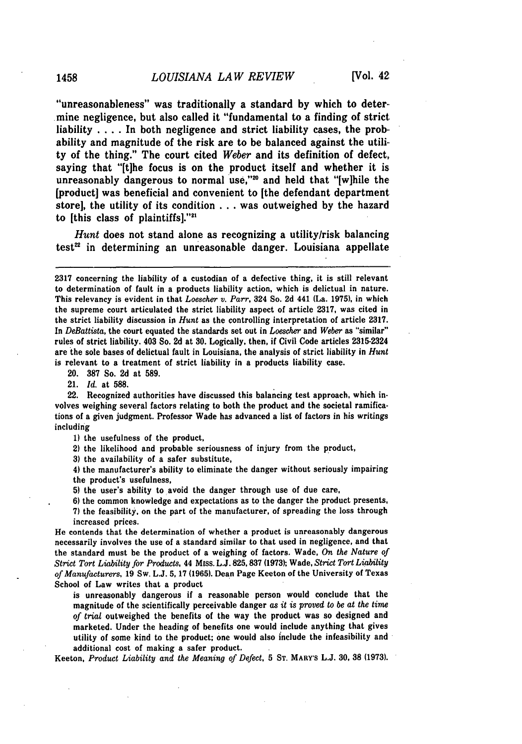"unreasonableness" was traditionally a standard **by** which to deter.. mine negligence, but also called it "fundamental to a finding of strict liability . . . . In both negligence and strict liability cases, the probability and magnitude of the risk are to be balanced against the utility of the thing." The court cited *Weber* and its definition of defect, saying that "[t]he focus is on the product itself and whether it is unreasonably dangerous to normal use,"<sup>20</sup> and held that "[w]hile the [product] was beneficial and convenient to [the defendant department store], the utility of its condition **.. .**was outweighed **by** the hazard to *[this class of plaintiffs].*"<sup>21</sup>

*Hunt* does not stand alone as recognizing a utility/risk balancing  $test^{22}$  in determining an unreasonable danger. Louisiana appellate

20. **387** So. 2d at **589.**

21. *Id.* at 588.

22. Recognized authorities have discussed this balancing test approach, which involves weighing several factors relating to both the product and the societal ramifications of a given judgment. Professor Wade has advanced a list of factors in his writings including

**1)** the usefulness of the product,

2) the likelihood and probable seriousness of injury from the product,

**3)** the availability of a safer substitute,

4) the manufacturer's ability to eliminate the danger without seriously impairing the product's usefulness,

**5)** the user's ability to avoid the danger through use of due care,

**6)** the common knowledge and expectations as to the danger the product presents, **7)** the feasibility, on the part of the manufacturer, of spreading the loss through increased prices.

He contends that the determination of whether a product is unreasonably dangerous necessarily involves the use of a standard similar to that used in negligence, and that the standard must be the product of a weighing of factors. Wade, *On the Nature of Strict Tort Liability for Products,* 44 Miss. **L.J. 825,837 (1973);** Wade, *Strict Tort Liability of Manufacturers,* 19 Sw. L.J. **5,** 17 (1965). Dean Page Keeton of the University of Texas School of Law writes that a product

is unreasonably dangerous if a reasonable person would conclude that the magnitude of the scientifically perceivable danger *as it is proved to be at the time* of *trial* outweighed the benefits of the way the product was so designed and marketed. Under the heading of benefits one would include anything that gives utility of some kind to the product; one would also include the infeasibility and additional cost of making a safer product.

Keeton, *Product Liability and the Meaning of Defect,* **5** ST. MARY'S **L.J. 30, 38 (1973).**

<sup>2317</sup> concerning the liability of a custodian of a defective thing, it is still relevant to determination of fault in a products liability action, which is delictual in nature. This relevancy is evident in that *Loescher v. Parr,* 324 So. 2d 441 (La. 1975), in which the supreme court articulated the strict liability aspect of article 2317, was cited in the strict liability discussion in *Hunt* as the controlling interpretation of article **2317.** In *DeBattista,* the court equated the standards set out in *Loescher* and *Weber* as "similar" rules of strict liability. 403 So. **2d** at **30.** Logically, then, if Civil Code articles 2315-2324 are the sole bases of delictual fault in Louisiana, the analysis of strict liability in *Hunt* is relevant to a treatment of strict liability in a products liability case.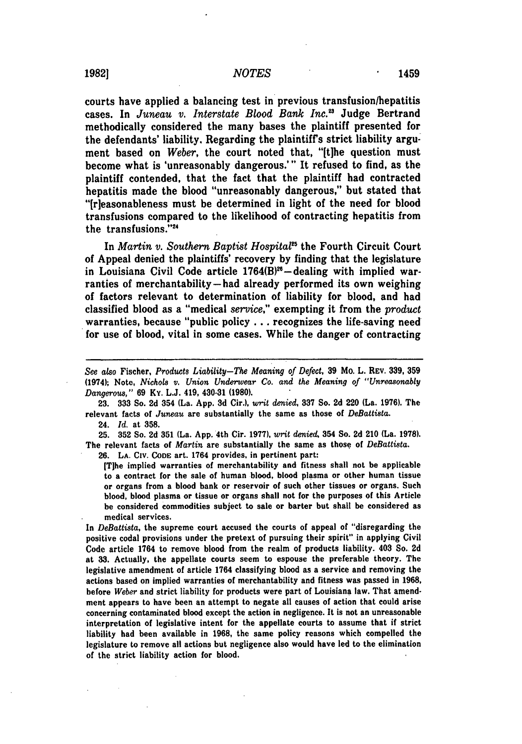courts have applied a balancing test in previous transfusion/hepatitis cases. In *Juneau v. Interstate Blood Bank Inc.*<sup>23</sup> Judge Bertrand methodically considered the many bases the plaintiff presented for the defendants' liability. Regarding the plaintiffs strict liability argument based on *Weber*, the court noted that, "It the question must become what is 'unreasonably dangerous.'" It refused to find, as the plaintiff contended, that the fact that the plaintiff had contracted hepatitis made the blood "unreasonably dangerous," but stated that "[rleasonableness must be determined in light of the need for blood transfusions compared to the likelihood of contracting hepatitis from the transfusions. **'\***

In *Martin v. Southern Baptist Hospital5* the Fourth Circuit Court of Appeal denied the plaintiffs' recovery **by** finding that the legislature in Louisiana Civil Code article  $1764(B)^{26}$  -dealing with implied warranties of merchantability-had already performed its own weighing of factors relevant to determination of liability for blood, and had classified blood as a "medical *service,"* exempting it from the *product* warranties, because "public policy.., recognizes the life-saving need for use of blood, vital in some cases. While the danger of contracting

**23. 333** So. 2d 354 (La. **App. 3d** Cir.), *writ denied,* **337** So. **2d** 220 (La. 1976). The relevant facts of *Juneau* are substantially the same as those of *DeBattista.*

24. *Id.* at **358.**

**25. 352** So. **2d 351** (La. App. 4th Cir. **1977).** writ *denied,* 354 So. **2d** 210 (La. **1978).** The relevant facts of *Martin* are substantially the same as those of *DeBattista.* **26.** LA. **CiV. CODE** art. 1764 provides, in pertinent part:

[Tlhe implied warranties of merchantability and fitness shall not be applicable to a contract for the sale of human blood, blood plasma or other human tissue or organs from a blood bank or reservoir of such other tissues or organs. Such blood, blood plasma or tissue or organs shall not for the purposes of this Article be considered commodities subject to sale or barter but shall be considered as medical services.

In *DeBattista,* the supreme court accused the courts of appeal of "disregarding the positive codal provisions under the pretext of pursuing their spirit" in applying Civil Code article 1764 to remove blood from the realm of products liability. 403 So. **2d** at **33.** Actually, the appellate courts seem to espouse the preferable theory. The legislative amendment of article 1764 classifying blood as a service and removing the actions based on implied warranties of merchantability and fitness was passed in **1968,** before *Weber* and strict liability for products were part of Louisiana law. That amendment appears to have been an attempt to negate all causes of action that could arise concerning contaminated blood except the action in negligence. It is not an unreasonable interpretation of legislative intent for the appellate courts to assume that if strict liability had been available in **1968,** the same policy reasons which compelled the legislature to remove all actions but negligence also would have led to the elimination of the strict liability action for blood.

*See also* Fischer, *Products Liability-The Meaning of Defect,* **39** Mo. L. **REv. 339, 359** (1974); Note, *Nichols v. Union Underwear Co. and the Meaning of "Unreasonably Dangerous,"* **69** Ky. L.J. 419, 430-31 **(1980).**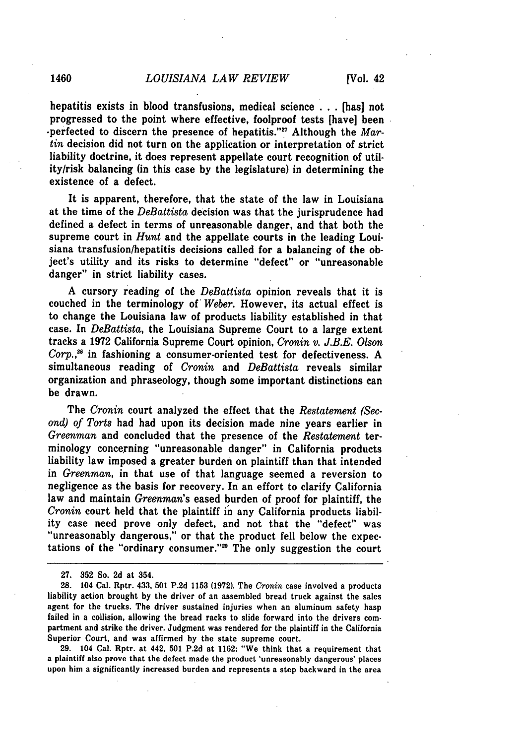hepatitis exists in blood transfusions, medical science **...**[has] not progressed to the point where effective, foolproof tests [have] been -perfected to discern the presence of hepatitis."" Although the *Martin* decision did not turn on the application or interpretation of strict liability doctrine, it does represent appellate court recognition of utility/risk balancing (in this case **by** the legislature) in determining the existence of a defect.

It is apparent, therefore, that the state of the law in Louisiana at the time of the *DeBattista* decision was that the jurisprudence had defined a defect in terms of unreasonable danger, and that both the supreme court in *Hunt* and the appellate courts in the leading Louisiana transfusion/hepatitis decisions called for a balancing of the object's utility and its risks to determine "defect" or "unreasonable danger" in strict liability cases.

**A** cursory reading of the *DeBattista* opinion reveals that it is couched in the terminology of *Weber.* However, its actual effect is to change the Louisiana law of products liability established in that case. In *DeBattista,* the Louisiana Supreme Court to a large extent tracks a **1972** California Supreme Court opinion, *Cronin v. J.B.E. Olson Corp.,28* in fashioning a consumer-oriented test for defectiveness. **A** simultaneous reading of *Cronin* and *DeBattista* reveals similar organization and phraseology, though some important distinctions can be drawn.

The *Cronin* court analyzed the effect that the *Restatement (Second) of Torts* had had upon its decision made nine years earlier in *Greenman* and concluded that the presence of the *Restatement* terminology concerning "unreasonable danger" in California products liability law imposed a greater burden on plaintiff than that intended in *Greenman,* in that use of that language seemed a reversion to negligence as the basis for recovery. In an effort to clarify California law and maintain *Greenman's* eased burden of proof for plaintiff, the *Cronin* court held that the plaintiff **in** any California products liability case need prove only defect, and not that the "defect" was "unreasonably dangerous," or that the product fell below the expectations of the "ordinary consumer.""9 The only suggestion the court

**29.** 104 Cal. Rptr. at 442, **501 P.2d** at **1162:** "We think that a requirement that a plaintiff also prove that the defect made the product 'unreasonably dangerous' places upon him a significantly increased burden and represents a step backward in the area

**<sup>27. 352</sup>** So. 2d at 354.

**<sup>28. 104</sup>** Cal. **Rptr. 433, 501 P.2d 1153 (1972).** The *Cronin* case involved a products liability action brought **by** the driver of an assembled bread truck against the sales agent for the trucks. The driver sustained injuries when an aluminum safety hasp failed in a collision, allowing the bread racks to slide forward into the drivers compartment and strike the driver. Judgment was rendered for the plaintiff in the California Superior Court, and was affirmed **by** the state supreme court.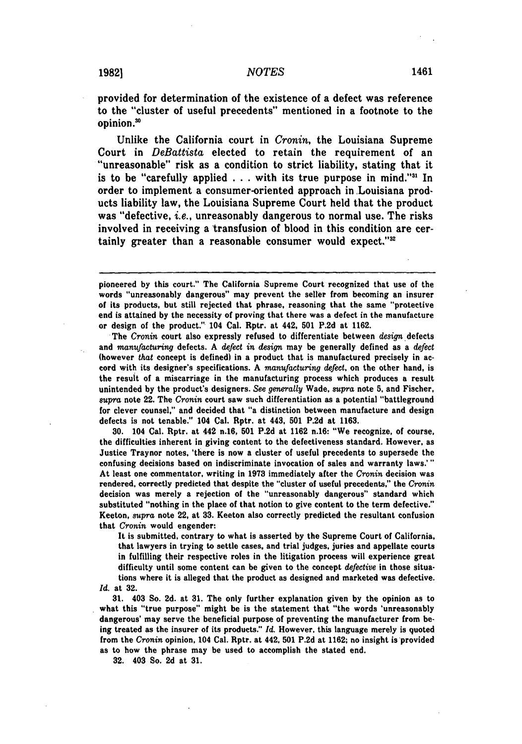provided for determination of the existence of a defect was reference to the "cluster of useful precedents" mentioned in a footnote to the opinion.'

Unlike the California court in *Cronin,* the Louisiana Supreme "unreasonable" risk as a condition to strict liability, stating that it is to be "carefully applied  $\ldots$  with its true purpose in mind."<sup>31</sup> In order to implement a consumer-oriented approach inLouisiana products liability law, the Louisiana Supreme Court held that the product was "defective, *i.e.,* unreasonably dangerous to normal use. The risks involved in receiving a transfusion of blood in this condition are certainly greater than a reasonable consumer would expect."<sup>32</sup>

pioneered **by** this court." The California Supreme Court recognized that use of the words "unreasonably dangerous" may prevent the seller from becoming an insurer of its products, but still rejected that phrase, reasoning that the same "protective end is attained **by** the necessity of proving that there was a defect in the manufacture or design of the product." 104 Cal. Rptr. at 442, **501 P.2d** at **1162.**

The *Cronin* court also expressly refused to differentiate between *design* defects and *manufacturing* defects. **A** *defect in design* may be generally defined as a *defect* (however *that* concept is defined) in a product that is manufactured precisely in accord with its designer's specifications. **A** *manufacturing defect,* on the other hand, is the result of a miscarriage in the manufacturing process which produces a result unintended **by** the product's designers. *See generally* Wade, *supra* note **5.** and Fischer, *supra* note 22. The *Cronin* court saw such differentiation as a potential "battleground for clever counsel," and decided that "a distinction between manufacture and design defects is not tenable." 104 Cal. Rptr. at 443, **501 P.2d** at **1163.**

**30.** 104 Cal. Rptr. at 442 n.16, **501 P.2d** at **1162** n.16: "We recognize, of course, the difficulties inherent in giving content to the defectiveness standard. However, as Justice Traynor notes. 'there is now a cluster of useful precedents to supersede the confusing decisions based on indiscriminate invocation of sales and warranty laws.'" At least one commentator, writing in **1973** immediately after the *Cronin* decision was rendered, correctly predicted that despite the "cluster of useful precedents," the *Cronin* decision was merely a rejection of the "unreasonably dangerous" standard which substituted "nothing in the place of that notion to give content to the term defective." Keeton, *supra* note 22, at **33.** Keeton also correctly predicted the resultant confusion that *Cronin* would engender:

It is submitted, contrary to what is asserted **by** the Supreme Court of California, that lawyers in trying to settle cases, and trial judges, juries and appellate courts in fulfilling their respective roles in the litigation process will experience great difficulty until some content can be given to the concept *defective* in those situations where it is alleged that the product as designed and marketed was defective.

*Id.* at **32.**

**31.** 403 So. **2d.** at **31.** The only further explanation given **by** the opinion as to what this "true purpose" might be is the statement that "the words 'unreasonably dangerous' may serve the beneficial purpose of preventing the manufacturer from being treated as the insurer of its products." *Id.* However, this language merely is quoted from the *Cronin* opinion, 104 Cal. Rptr. at 442, **501 P.2d** at **1162;** no insight is provided as to how the phrase may be used to accomplish the stated end.

**32.** 403 So. **2d** at **31.**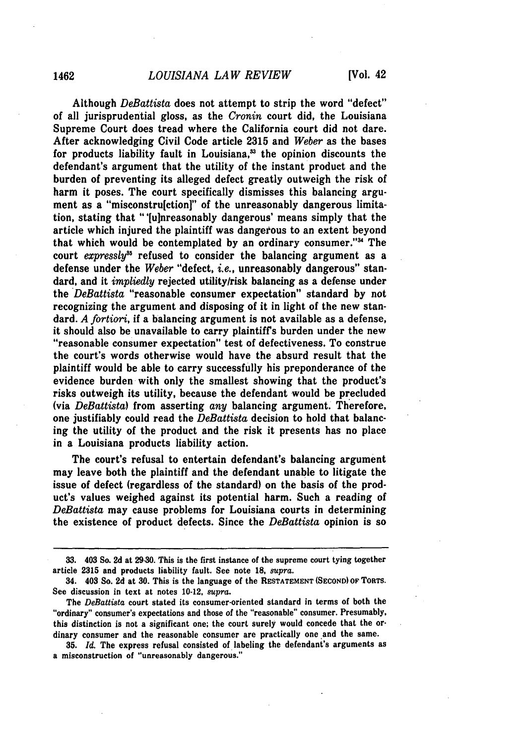Although *DeBattista* does not attempt to strip the word "defect" of all jurisprudential gloss, as the *Cronin* court did, the Louisiana Supreme Court does tread where the California court did not dare. After acknowledging Civil Code article 2315 and *Weber* as the bases for products liability fault in Louisiana,<sup>33</sup> the opinion discounts the defendant's argument that the utility of the instant product and the burden of preventing its alleged defect greatly outweigh the risk of harm it poses. The court specifically dismisses this balancing argument as a "misconstru[ction]" of the unreasonably dangerous limitation, stating that "'[ulnreasonably dangerous' means simply that the article which injured the plaintiff was dangerous to an extent beyond that which would be contemplated by an ordinary consumer."<sup>34</sup> The court *expressly"5* refused to consider the balancing argument as a defense under the *Weber* "defect, *i.e.,* unreasonably dangerous" standard, and it *impliedly* rejected utility/risk balancing as a defense under the *DeBattista* "reasonable consumer expectation" standard by not recognizing the argument and disposing of it in light of the new standard. *A fortiori,* if a balancing argument is not available as a defense, it should also be unavailable to carry plaintiffs burden under the new "reasonable consumer expectation" test of defectiveness. To construe the court's words otherwise would have the absurd result that the plaintiff would be able to carry successfully his preponderance of the evidence burden with only the smallest showing that the product's risks outweigh its utility, because the defendant would be precluded (via *DeBattista)* from asserting *any* balancing argument. Therefore, one justifiably could read the *DeBattista* decision to hold that balancing the utility of the product and the risk it presents has no place in a Louisiana products liability action.

The court's refusal to entertain defendant's balancing argument may leave both the plaintiff and the defendant unable to litigate the issue of defect (regardless of the standard) on the basis of the product's values weighed against its potential harm. Such a reading of *DeBattista* may cause problems for Louisiana courts in determining the existence of product defects. Since the *DeBattista* opinion is so

**<sup>33.</sup>** 403 So. **2d** at **29-30.** This is the first instance of the supreme court tying together article **2315** and products liability fault. See note **18,** *supra.*

<sup>34. 403</sup> So. **2d** at **30.** This is the language of the **RESTATEMENT (SECOND) OF TORTS.** See discussion in text at notes 10-12, *supra.*

The *DeBattista* court stated its consumer-oriented standard in terms of both the "ordinary" consumer's expectations and those of the "reasonable" consumer. Presumably, this distinction is not a significant one; the court surely would concede that the ordinary consumer and the reasonable consumer are practically one and the same.

**<sup>35.</sup>** *Id.* The express refusal consisted of labeling the defendant's arguments as a misconstruction of "unreasonably dangerous."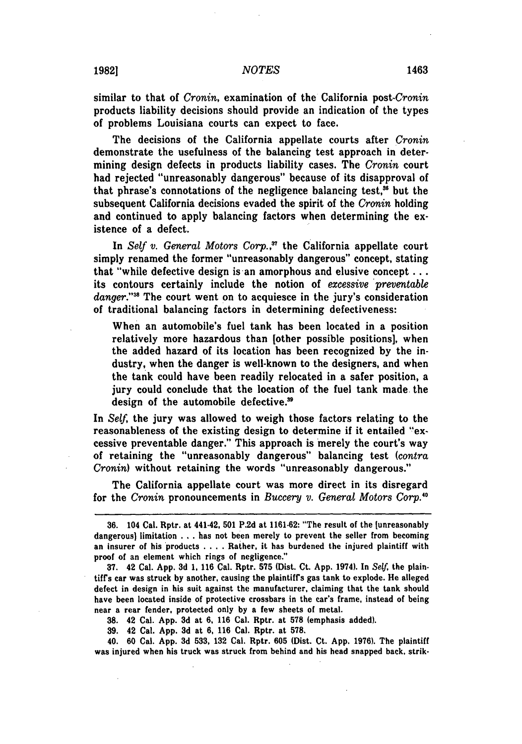similar to that of *Cronin,* examination of the California *post-Cronin* products liability decisions should provide an indication of the types of problems Louisiana courts can expect to face.

The decisions of the California appellate courts after *Cronin* demonstrate the usefulness of the balancing test approach in determining design defects in products liability cases. The *Cronin* court had rejected "unreasonably dangerous" because of its disapproval of that phrase's connotations of the negligence balancing test. $36$  but the subsequent California decisions evaded the spirit of the *Cronin* holding and continued to apply balancing factors when determining the existence of a defect.

In *Self v. General Motors Corp.,"* the California appellate court simply renamed the former "unreasonably dangerous" concept, stating that "while defective design is an amorphous and elusive concept **...** its contours certainly include the notion of *excessive preventable* danger."<sup>38</sup> The court went on to acquiesce in the jury's consideration of traditional balancing factors in determining defectiveness:

When an automobile's fuel tank has been located in a position relatively more hazardous than [other possible positions], when the added hazard of its location has been recognized by the industry, when the danger is well-known to the designers, and when the tank could have been readily relocated in a safer position, a jury could conclude that the location of the fuel tank made. the design of the automobile defective.<sup>39</sup>

In *Self,* the jury was allowed to weigh those factors relating to the reasonableness of the existing design to determine if it entailed "excessive preventable danger." This approach is merely the court's way of retaining the "unreasonably dangerous" balancing test *(contra Cronin)* without retaining the words "unreasonably dangerous."

The California appellate court was more direct in its disregard for the *Cronin* pronouncements in *Buccery v. General Motors Corp.10*

**38.** 42 Cal. **App. 3d** at **6, 116** Cal. Rptr. at **578** (emphasis added).

**39.** 42 Cal. **App. 3d** at **6, 116** Cal. Rptr. at **578.**

40. **60** Cal. **App. 3d 533, 132** Cal. Rptr. **605** (Dist. Ct. **App. 1976).** The plaintiff was injured when his truck was struck from behind and his head snapped back, strik-

**<sup>36.</sup>** 104 Cal. Rptr. at 441-42, **501 P.2d** at **1161-62:** "The result of the [unreasonably dangerous] limitation **.** . **.** has not been merely to prevent the seller from becoming an insurer of his products .... Rather, it has burdened the injured plaintiff with proof of an element which rings of negligence."

**<sup>37.</sup>** 42 Cal. **App. 3d 1, 116** Cal. Rptr. **575** (Dist. Ct. **App.** 1974). In Self, the plaintiffs car was struck **by** another, causing the plaintiff's gas tank to explode. He alleged defect in design in his suit against the manufacturer, claiming that the tank should have been located inside of protective crossbars in the car's frame, instead of being near a rear fender, protected only **by** a few sheets of metal.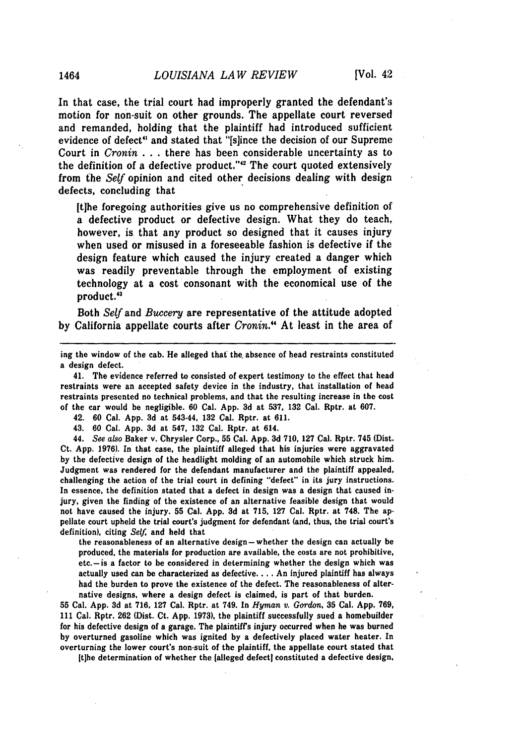In that case, the trial court had improperly granted the defendant's motion for non-suit on other grounds. The appellate court reversed and remanded, holding that the plaintiff had introduced sufficient evidence of defect' and stated that "[slince the decision of our Supreme Court in *Cronin* **. . .**there has been considerable uncertainty as to the definition of a defective product."<sup>42</sup> The court quoted extensively from the *Self* opinion and cited other decisions dealing with design defects, concluding that

**[t]he** foregoing authorities give us no comprehensive definition of a defective product or defective design. What they do teach, however, is that any product so designed that it causes injury when used or misused in a foreseeable fashion is defective if the design feature which caused the injury created a danger which was readily preventable through the employment of existing technology at a cost consonant with the economical use of the product.'<sup>3</sup>

Both *Self* and *Buccery* are representative of the attitude adopted **by** California appellate courts after *Cronin."'* At least in the area of

ing the window of the cab. He alleged that the. absence of head restraints constituted a design defect.

**41.** The evidence referred to consisted of expert testimony to the effect that head restraints were an accepted safety device in the industry, that installation of head restraints presented no technical problems, and that the resulting increase in the cost of the car would be negligible. **60** Cal. **App. 3d** at **537, 132** Cal. Rptr. at **607.**

42. **60** Cal. **App. 3d** at 543-44, **132** Cal. Rptr. at **611.**

43. **60** Cal. **App. 3d** at 547, **132** Cal. Rptr. at 614.

44. *See also* Baker v. Chrysler Corp., **55** Cal. **App. 3d 710, 127** Cal. Rptr. 745 (Dist. Ct. **App. 1976).** In that case, the plaintiff alleged that his injuries were aggravated **by** the defective design of the headlight molding of an automobile which struck him. Judgment was rendered for the defendant manufacturer and the plaintiff appealed, challenging the action of the trial court in defining "defect" in its jury instructions. In essence, the definition stated that a defect in design was a design that caused injury, given the finding of the existence of an alternative feasible design that would not have caused the injury. **55** Cal. **App. 3d** at **715, 127** Cal. Rptr. at **748.** The appellate court upheld the trial court's judgment for defendant (and, thus, the trial court's definition), citing *Self,* and held that

the reasonableness of an alternative design-whether the design can actually be produced, the materials for production are available, the costs are not prohibitive,  $etc.-is$  a factor to be considered in determining whether the design which was actually used can be characterized as defective **....** An injured plaintiff has always had the burden to prove the existence of the defect. The reasonableness of alternative designs, where a design defect is claimed, is part of that burden.

**55** Cal. **App. 3d** at **716, 127** Cal. Rptr. at 749. In *Hyman v.* **Gordon, 35** Cal. **App. 769, 111** Cal. Rptr. **262** (Dist. Ct. **App. 1973),** the plaintiff successfully sued a homebuilder for his defective design of **a** garage. The plaintiff's injury occurred when he was burned **by** overturned gasoline which was ignited **by** a defectively placed water heater. In overturning the lower court's non-suit of the plaintiff, the appellate court stated that

**It]he** determination of whether the [alleged defect) constituted a defective design,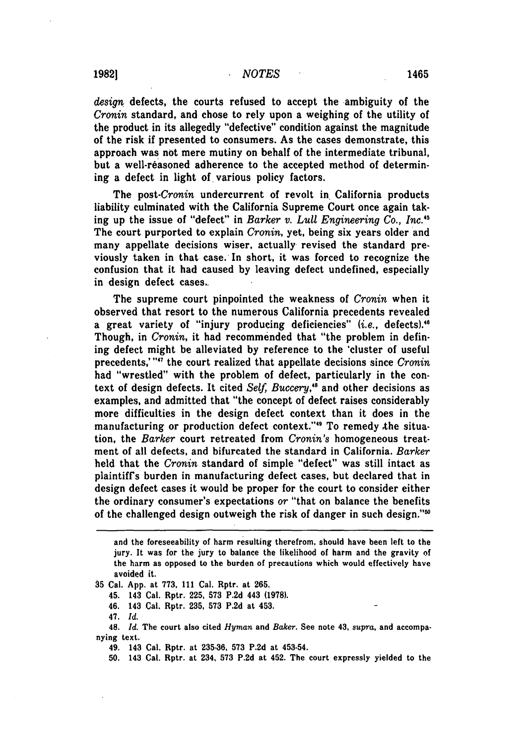*design* defects, the courts refused to accept the ambiguity of the *Cronin* standard, and chose to rely upon a weighing of the utility of the product in its allegedly "defective" condition against the magnitude of the risk if presented to consumers. As the cases demonstrate, this approach was not mere mutiny on behalf of the intermediate tribunal, but a well-reasoned adherence to the accepted method of determining a defect in light of various policy factors.

The *post-Cronin* undercurrent of revolt in. California products liability culminated with the California Supreme Court once again taking up the issue of "defect" in *Barker v. Lull Engineering Co., Inc."* The court purported to explain *Cronin,* yet, being six years older and many appellate decisions wiser, actually revised the standard previously taken in that case. In short, it was forced to recognize the confusion that it had caused by leaving defect undefined, especially in design defect cases..

The supreme court pinpointed the weakness of *Cronin* when it observed that resort to the numerous California precedents revealed a great variety of "injury producing deficiencies" (i.e., defects).<sup>46</sup> Though, in *Cronin,* it had recommended that "the problem in defining defect might be alleviated by reference to the 'cluster of useful precedents,""' the court realized that appellate decisions since *Cronin* had "wrestled" with the problem of defect, particularly in the context of design defects. It cited *Self, Buccery,"* and other decisions as examples, and admitted that "the concept of defect raises considerably more difficulties in the design defect context than it does in the manufacturing or production defect context."<sup>49</sup> To remedy the situation, the *Barker* court retreated from *Cronin's* homogeneous treatment of all defects, and bifurcated the standard in California. *Barker* held that the *Cronin* standard of simple "defect" was still intact as plaintiff's burden in manufacturing defect cases, but declared that in design defect cases it would be proper for the court to consider either the ordinary consumer's expectations *or* "that on balance the benefits of the challenged design outweigh the risk of danger in such design."'

**35** Cal. **App.** at **773, 111** Cal. Rptr. at **265.**

45. 143 Cal. Rptr. **225, 573 P.2d** 443 **(1978).**

46. 143 Cal. Rptr. **235, 573 P.2d** at 453.

47. *Id.*

48. *Id.* The court also cited *Hyman* and *Baker.* See note **43,** *supra,* and accompanying text.

49. 143 Cal. Rptr. at **235-36, 573 P.2d** at 453-54.

**50.** 143 Cal. Rptr. at 234, **573 P.2d** at 452. The court expressly yielded to the

and the foreseeability of harm resulting therefrom, should have been left to the jury. It was for the jury to balance the likelihood of harm and the gravity **of** the harm as opposed to the burden of precautions which would effectively have avoided it.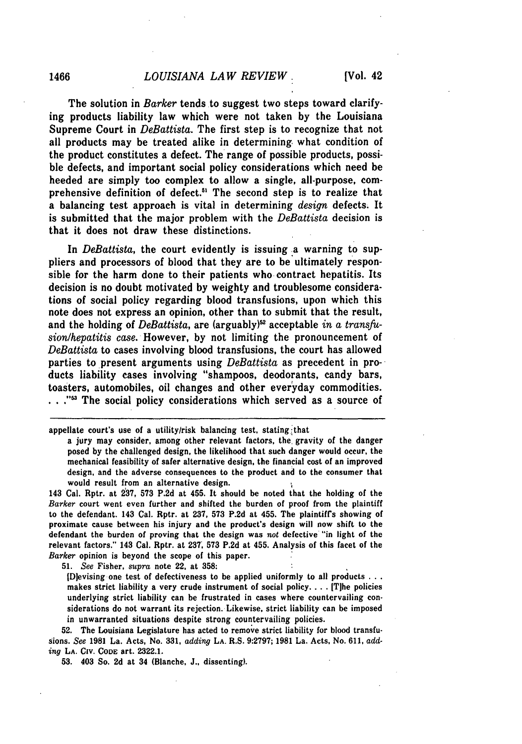The solution in *Barker* tends to suggest two steps toward clarifying products liability law which were not taken **by** the Louisiana Supreme Court in *DeBattista.* The first step is to recognize that not all products may be treated alike in determining what condition of the product constitutes a defect. The range of possible products, possible defects, and important social policy considerations which need be heeded are simply too complex to allow a single, all-purpose, comprehensive definition of defect.<sup>51</sup> The second step is to realize that a balancing test approach is vital in determining *design* defects. It is submitted that the major problem with the *DeBattista* decision is that it does not draw these distinctions.

In *DeBattista*, the court evidently is issuing a warning to suppliers and processors of blood that they are to be ultimately responsible for the harm done to their patients who contract hepatitis. Its decision is no doubt motivated **by** weighty and troublesome considerations of social policy regarding blood transfusions, upon which this note does not express an opinion, other than to submit that the result, and the holding of *DeBattista*, are (arguably)<sup>52</sup> acceptable *in a transfusion/hepatitis case.* However, by not limiting the pronouncement of *DeBattista* to cases involving blood transfusions, the court has allowed parties to present arguments using *DeBattista* as precedent in products liability cases involving "shampoos, deodorants, candy bars, toasters, automobiles, oil changes and other everyday commodities. ..."<sup>53</sup> The social policy considerations which served as a source of

143 Cal. Rptr. at **237, 573 P.2d** at 455. It should be noted that the holding of the Barker court went even further and shifted the burden of proof from the plaintiff to the defendant. 143 Cal. Rptr. at **237, 573 P.2d** at 455. The plaintiff's showing of proximate cause between his injury and the product's design will now shift to the defendant the burden of proving that the design was not defective "in light of the relevant factors." 143 Cal. Rptr. at **237, 573 P.2d** at 455. Analysis of this facet of the Barker opinion is beyond the scope of this paper.

**51.** See Fisher, supra note **22,** at **358:**

ID evising one test of defectiveness to be applied uniformly to all products  $\dots$ makes strict liability a very crude instrument of social policy **....** IT]he policies underlying strict liability can be frustrated in cases where countervailing considerations do not warrant its rejection. Likewise, strict liability can be imposed in unwarranted situations despite strong countervailing policies.

**52.** The Louisiana Legislature has acted to remove strict liability for blood transfusions. See **1981** La. Acts, No. **331,** adding **LA.** R.S. **9:2797; 1981** La. Acts, No. **611,** adding **LA.** Civ. CoDE art. **2322.1.**

**53.** 403 So. **2d** at 34 (Blanche, **J.,** dissenting).

appellate court's use of a utility/risk balancing test, stating :that

a **jury** may consider, among other relevant factors, the, gravity of the danger posed **by** the challenged design, the likelihood that such danger would occur, the mechanical feasibility of safer alternative design, the financial cost of an improved design, and the adverse consequences to the product and to the consumer that would result from an alternative design.